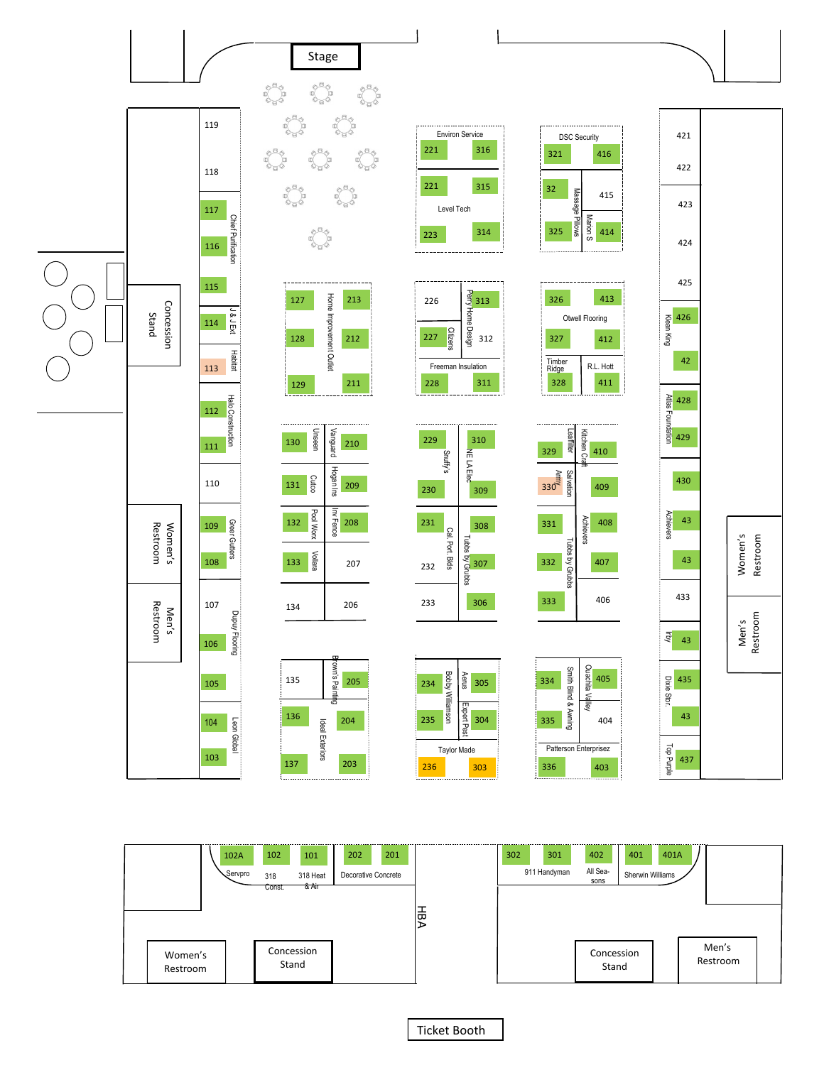